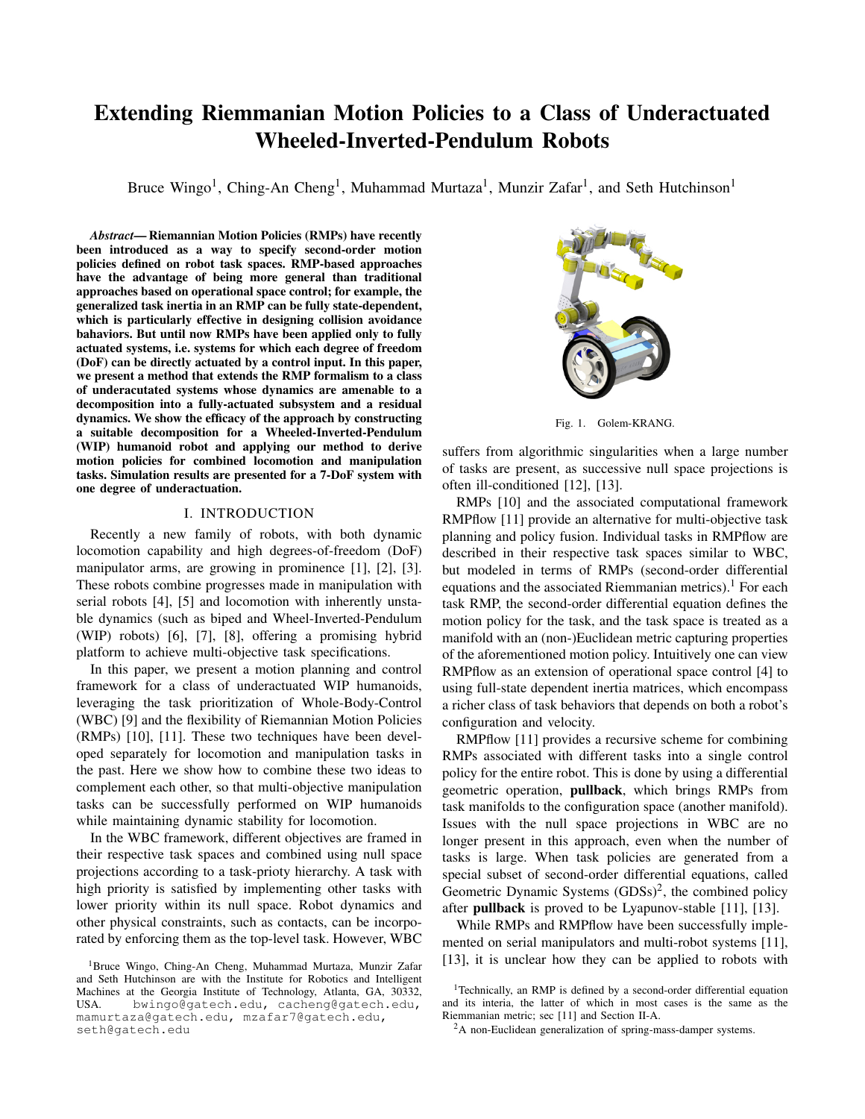# Extending Riemmanian Motion Policies to a Class of Underactuated Wheeled-Inverted-Pendulum Robots

Bruce Wingo<sup>1</sup>, Ching-An Cheng<sup>1</sup>, Muhammad Murtaza<sup>1</sup>, Munzir Zafar<sup>1</sup>, and Seth Hutchinson<sup>1</sup>

*Abstract*— Riemannian Motion Policies (RMPs) have recently been introduced as a way to specify second-order motion policies defined on robot task spaces. RMP-based approaches have the advantage of being more general than traditional approaches based on operational space control; for example, the generalized task inertia in an RMP can be fully state-dependent, which is particularly effective in designing collision avoidance bahaviors. But until now RMPs have been applied only to fully actuated systems, i.e. systems for which each degree of freedom (DoF) can be directly actuated by a control input. In this paper, we present a method that extends the RMP formalism to a class of underacutated systems whose dynamics are amenable to a decomposition into a fully-actuated subsystem and a residual dynamics. We show the efficacy of the approach by constructing a suitable decomposition for a Wheeled-Inverted-Pendulum (WIP) humanoid robot and applying our method to derive motion policies for combined locomotion and manipulation tasks. Simulation results are presented for a 7-DoF system with one degree of underactuation.

### I. INTRODUCTION

Recently a new family of robots, with both dynamic locomotion capability and high degrees-of-freedom (DoF) manipulator arms, are growing in prominence [1], [2], [3]. These robots combine progresses made in manipulation with serial robots [4], [5] and locomotion with inherently unstable dynamics (such as biped and Wheel-Inverted-Pendulum (WIP) robots) [6], [7], [8], offering a promising hybrid platform to achieve multi-objective task specifications.

In this paper, we present a motion planning and control framework for a class of underactuated WIP humanoids, leveraging the task prioritization of Whole-Body-Control (WBC) [9] and the flexibility of Riemannian Motion Policies (RMPs) [10], [11]. These two techniques have been developed separately for locomotion and manipulation tasks in the past. Here we show how to combine these two ideas to complement each other, so that multi-objective manipulation tasks can be successfully performed on WIP humanoids while maintaining dynamic stability for locomotion.

In the WBC framework, different objectives are framed in their respective task spaces and combined using null space projections according to a task-prioty hierarchy. A task with high priority is satisfied by implementing other tasks with lower priority within its null space. Robot dynamics and other physical constraints, such as contacts, can be incorporated by enforcing them as the top-level task. However, WBC



Fig. 1. Golem-KRANG.

suffers from algorithmic singularities when a large number of tasks are present, as successive null space projections is often ill-conditioned [12], [13].

RMPs [10] and the associated computational framework RMPflow [11] provide an alternative for multi-objective task planning and policy fusion. Individual tasks in RMPflow are described in their respective task spaces similar to WBC, but modeled in terms of RMPs (second-order differential equations and the associated Riemmanian metrics).<sup>1</sup> For each task RMP, the second-order differential equation defines the motion policy for the task, and the task space is treated as a manifold with an (non-)Euclidean metric capturing properties of the aforementioned motion policy. Intuitively one can view RMPflow as an extension of operational space control [4] to using full-state dependent inertia matrices, which encompass a richer class of task behaviors that depends on both a robot's configuration and velocity.

RMPflow [11] provides a recursive scheme for combining RMPs associated with different tasks into a single control policy for the entire robot. This is done by using a differential geometric operation, pullback, which brings RMPs from task manifolds to the configuration space (another manifold). Issues with the null space projections in WBC are no longer present in this approach, even when the number of tasks is large. When task policies are generated from a special subset of second-order differential equations, called Geometric Dynamic Systems (GDSs)<sup>2</sup>, the combined policy after pullback is proved to be Lyapunov-stable [11], [13].

While RMPs and RMPflow have been successfully implemented on serial manipulators and multi-robot systems [11], [13], it is unclear how they can be applied to robots with

<sup>1</sup>Bruce Wingo, Ching-An Cheng, Muhammad Murtaza, Munzir Zafar and Seth Hutchinson are with the Institute for Robotics and Intelligent Machines at the Georgia Institute of Technology, Atlanta, GA, 30332, USA. by inco<sup>@</sup>gatech.edu. cacheng@gatech.edu. bwingo@gatech.edu, cacheng@gatech.edu, mamurtaza@gatech.edu, mzafar7@gatech.edu, seth@gatech.edu

<sup>1</sup>Technically, an RMP is defined by a second-order differential equation and its interia, the latter of which in most cases is the same as the Riemmanian metric; sec [11] and Section II-A.

 ${}^{2}$ A non-Euclidean generalization of spring-mass-damper systems.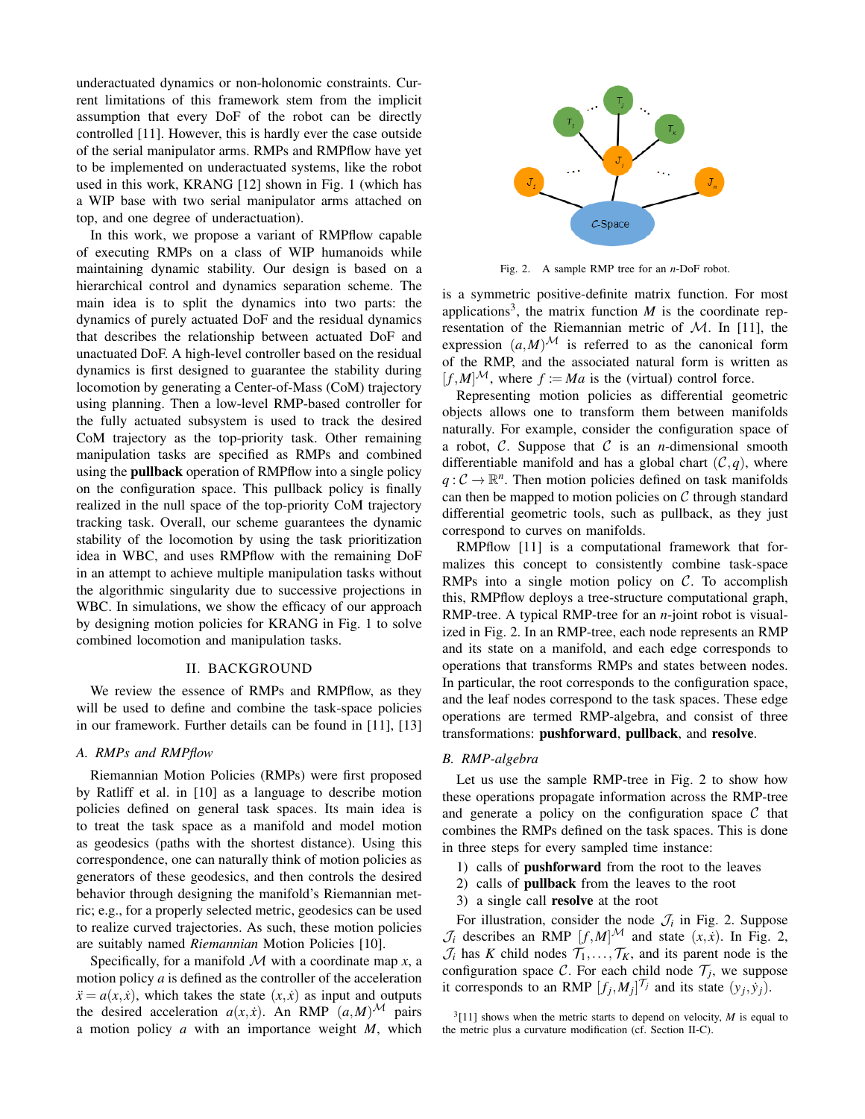underactuated dynamics or non-holonomic constraints. Current limitations of this framework stem from the implicit assumption that every DoF of the robot can be directly controlled [11]. However, this is hardly ever the case outside of the serial manipulator arms. RMPs and RMPflow have yet to be implemented on underactuated systems, like the robot used in this work, KRANG [12] shown in Fig. 1 (which has a WIP base with two serial manipulator arms attached on top, and one degree of underactuation).

In this work, we propose a variant of RMPflow capable of executing RMPs on a class of WIP humanoids while maintaining dynamic stability. Our design is based on a hierarchical control and dynamics separation scheme. The main idea is to split the dynamics into two parts: the dynamics of purely actuated DoF and the residual dynamics that describes the relationship between actuated DoF and unactuated DoF. A high-level controller based on the residual dynamics is first designed to guarantee the stability during locomotion by generating a Center-of-Mass (CoM) trajectory using planning. Then a low-level RMP-based controller for the fully actuated subsystem is used to track the desired CoM trajectory as the top-priority task. Other remaining manipulation tasks are specified as RMPs and combined using the pullback operation of RMPflow into a single policy on the configuration space. This pullback policy is finally realized in the null space of the top-priority CoM trajectory tracking task. Overall, our scheme guarantees the dynamic stability of the locomotion by using the task prioritization idea in WBC, and uses RMPflow with the remaining DoF in an attempt to achieve multiple manipulation tasks without the algorithmic singularity due to successive projections in WBC. In simulations, we show the efficacy of our approach by designing motion policies for KRANG in Fig. 1 to solve combined locomotion and manipulation tasks.

## II. BACKGROUND

We review the essence of RMPs and RMPflow, as they will be used to define and combine the task-space policies in our framework. Further details can be found in [11], [13]

## *A. RMPs and RMPflow*

Riemannian Motion Policies (RMPs) were first proposed by Ratliff et al. in [10] as a language to describe motion policies defined on general task spaces. Its main idea is to treat the task space as a manifold and model motion as geodesics (paths with the shortest distance). Using this correspondence, one can naturally think of motion policies as generators of these geodesics, and then controls the desired behavior through designing the manifold's Riemannian metric; e.g., for a properly selected metric, geodesics can be used to realize curved trajectories. As such, these motion policies are suitably named *Riemannian* Motion Policies [10].

Specifically, for a manifold  $M$  with a coordinate map  $x$ , a motion policy *a* is defined as the controller of the acceleration  $\ddot{x} = a(x, \dot{x})$ , which takes the state  $(x, \dot{x})$  as input and outputs the desired acceleration  $a(x, \dot{x})$ . An RMP  $(a, M)^{\mathcal{M}}$  pairs a motion policy *a* with an importance weight *M*, which



Fig. 2. A sample RMP tree for an *n*-DoF robot.

is a symmetric positive-definite matrix function. For most applications<sup>3</sup>, the matrix function  $M$  is the coordinate representation of the Riemannian metric of  $M$ . In [11], the expression  $(a, M)$ <sup>M</sup> is referred to as the canonical form of the RMP, and the associated natural form is written as  $[f, M]^{\mathcal{M}}$ , where  $f := Ma$  is the (virtual) control force.

Representing motion policies as differential geometric objects allows one to transform them between manifolds naturally. For example, consider the configuration space of a robot,  $C$ . Suppose that  $C$  is an *n*-dimensional smooth differentiable manifold and has a global chart  $(C, q)$ , where  $q: \mathcal{C} \to \mathbb{R}^n$ . Then motion policies defined on task manifolds can then be mapped to motion policies on  $C$  through standard differential geometric tools, such as pullback, as they just correspond to curves on manifolds.

RMPflow [11] is a computational framework that formalizes this concept to consistently combine task-space RMPs into a single motion policy on  $C$ . To accomplish this, RMPflow deploys a tree-structure computational graph, RMP-tree. A typical RMP-tree for an *n*-joint robot is visualized in Fig. 2. In an RMP-tree, each node represents an RMP and its state on a manifold, and each edge corresponds to operations that transforms RMPs and states between nodes. In particular, the root corresponds to the configuration space, and the leaf nodes correspond to the task spaces. These edge operations are termed RMP-algebra, and consist of three transformations: pushforward, pullback, and resolve.

# *B. RMP-algebra*

Let us use the sample RMP-tree in Fig. 2 to show how these operations propagate information across the RMP-tree and generate a policy on the configuration space  $\mathcal C$  that combines the RMPs defined on the task spaces. This is done in three steps for every sampled time instance:

- 1) calls of pushforward from the root to the leaves
- 2) calls of pullback from the leaves to the root
- 3) a single call resolve at the root

For illustration, consider the node  $\mathcal{J}_i$  in Fig. 2. Suppose  $\mathcal{J}_i$  describes an RMP  $[f, M]^{\mathcal{M}}$  and state  $(x, \dot{x})$ . In Fig. 2,  $\mathcal{J}_i$  has *K* child nodes  $\mathcal{T}_1, \ldots, \mathcal{T}_K$ , and its parent node is the configuration space C. For each child node  $\mathcal{T}_j$ , we suppose it corresponds to an RMP  $[f_j, M_j]^{\mathcal{T}_j}$  and its state  $(y_j, \dot{y}_j)$ .

 $3[11]$  shows when the metric starts to depend on velocity, *M* is equal to the metric plus a curvature modification (cf. Section II-C).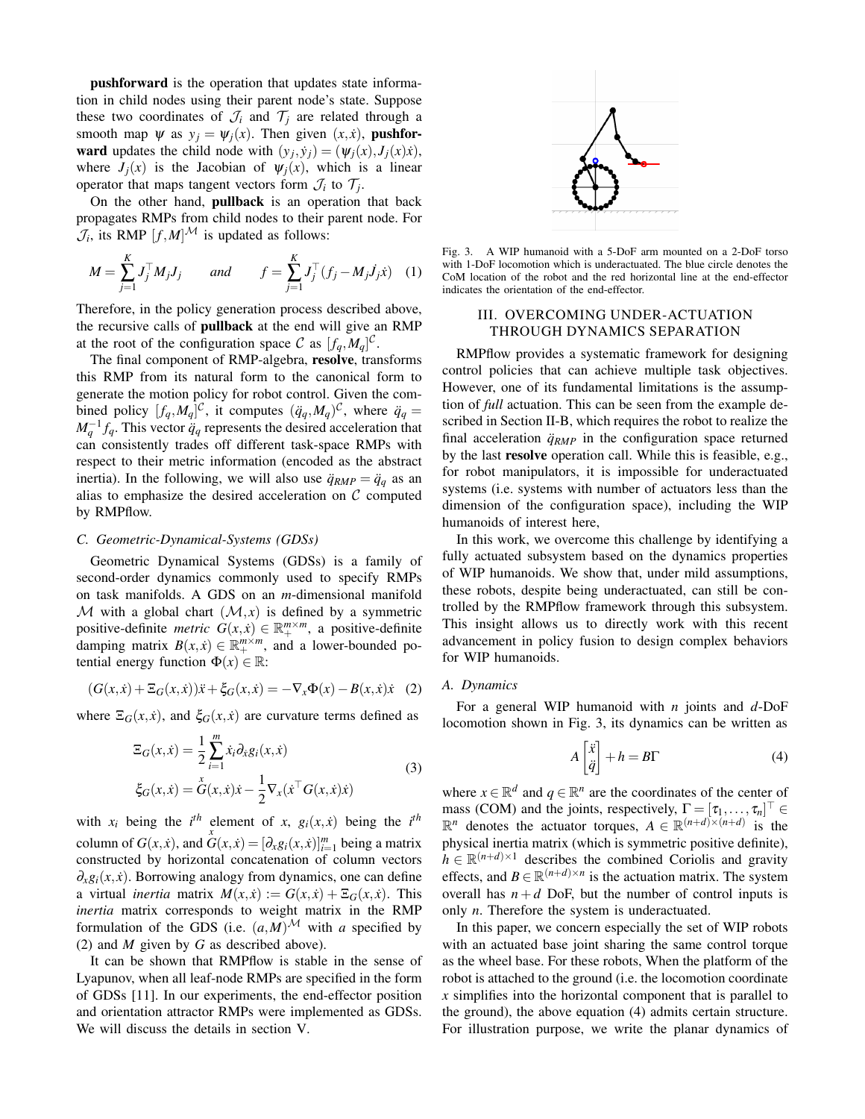pushforward is the operation that updates state information in child nodes using their parent node's state. Suppose these two coordinates of  $\mathcal{J}_i$  and  $\mathcal{T}_j$  are related through a smooth map  $\psi$  as  $y_j = \psi_j(x)$ . Then given  $(x, \dot{x})$ , pushforward updates the child node with  $(y_j, \dot{y}_j) = (\psi_j(x), J_j(x)\dot{x}),$ where  $J_i(x)$  is the Jacobian of  $\psi_i(x)$ , which is a linear operator that maps tangent vectors form  $\mathcal{J}_i$  to  $\mathcal{T}_j$ .

On the other hand, pullback is an operation that back propagates RMPs from child nodes to their parent node. For  $\mathcal{J}_i$ , its RMP  $[f, M]^{\mathcal{M}}$  is updated as follows:

$$
M = \sum_{j=1}^{K} J_j^{\top} M_j J_j \quad \text{and} \quad f = \sum_{j=1}^{K} J_j^{\top} (f_j - M_j J_j \dot{x}) \quad (1)
$$

Therefore, in the policy generation process described above, the recursive calls of pullback at the end will give an RMP at the root of the configuration space C as  $[f_q, M_q]^C$ .

The final component of RMP-algebra, resolve, transforms this RMP from its natural form to the canonical form to generate the motion policy for robot control. Given the combined policy  $[f_q, M_q]^\mathcal{C}$ , it computes  $(\ddot{q}_q, M_q)^\mathcal{C}$ , where  $\ddot{q}_q =$  $M_q^{-1} f_q$ . This vector  $\ddot{q}_q$  represents the desired acceleration that can consistently trades off different task-space RMPs with respect to their metric information (encoded as the abstract inertia). In the following, we will also use  $\ddot{q}_{RMP} = \ddot{q}_q$  as an alias to emphasize the desired acceleration on  $C$  computed by RMPflow.

#### *C. Geometric-Dynamical-Systems (GDSs)*

Geometric Dynamical Systems (GDSs) is a family of second-order dynamics commonly used to specify RMPs on task manifolds. A GDS on an *m*-dimensional manifold M with a global chart  $(M, x)$  is defined by a symmetric positive-definite *metric*  $G(x, \dot{x}) \in \mathbb{R}^{m \times m}_{+}$ , a positive-definite damping matrix  $B(x, \dot{x}) \in \mathbb{R}^{m \times m}_{+}$ , and a lower-bounded potential energy function  $\Phi(x) \in \mathbb{R}$ :

$$
(G(x, \dot{x}) + \Xi_G(x, \dot{x}))\ddot{x} + \xi_G(x, \dot{x}) = -\nabla_x \Phi(x) - B(x, \dot{x})\dot{x} \quad (2)
$$

where  $\Xi_G(x, \dot{x})$ , and  $\xi_G(x, \dot{x})$  are curvature terms defined as

$$
\begin{aligned} \Xi_G(x,\dot{x}) &= \frac{1}{2} \sum_{i=1}^m \dot{x}_i \partial_{\dot{x}} g_i(x,\dot{x}) \\ \xi_G(x,\dot{x}) &= \tilde{G}(x,\dot{x}) \dot{x} - \frac{1}{2} \nabla_x(\dot{x}^\top G(x,\dot{x}) \dot{x}) \end{aligned} \tag{3}
$$

with  $x_i$  being the  $i^{th}$  element of  $x$ ,  $g_i(x, \dot{x})$  being the  $i^{th}$ column of  $G(x, \dot{x})$ , and  $\overline{G}(x, \dot{x}) = [\partial_x g_i(x, \dot{x})]_{i=1}^m$  being a matrix constructed by horizontal concatenation of column vectors  $\partial_x g_i(x, \dot{x})$ . Borrowing analogy from dynamics, one can define a virtual *inertia* matrix  $M(x, \dot{x}) := G(x, \dot{x}) + \Xi_G(x, \dot{x})$ . This *inertia* matrix corresponds to weight matrix in the RMP formulation of the GDS (i.e.  $(a, M)$ <sup>M</sup> with *a* specified by (2) and *M* given by *G* as described above).

It can be shown that RMPflow is stable in the sense of Lyapunov, when all leaf-node RMPs are specified in the form of GDSs [11]. In our experiments, the end-effector position and orientation attractor RMPs were implemented as GDSs. We will discuss the details in section V.



Fig. 3. A WIP humanoid with a 5-DoF arm mounted on a 2-DoF torso with 1-DoF locomotion which is underactuated. The blue circle denotes the CoM location of the robot and the red horizontal line at the end-effector indicates the orientation of the end-effector.

## III. OVERCOMING UNDER-ACTUATION THROUGH DYNAMICS SEPARATION

RMPflow provides a systematic framework for designing control policies that can achieve multiple task objectives. However, one of its fundamental limitations is the assumption of *full* actuation. This can be seen from the example described in Section II-B, which requires the robot to realize the final acceleration  $\ddot{q}_{RMP}$  in the configuration space returned by the last resolve operation call. While this is feasible, e.g., for robot manipulators, it is impossible for underactuated systems (i.e. systems with number of actuators less than the dimension of the configuration space), including the WIP humanoids of interest here,

In this work, we overcome this challenge by identifying a fully actuated subsystem based on the dynamics properties of WIP humanoids. We show that, under mild assumptions, these robots, despite being underactuated, can still be controlled by the RMPflow framework through this subsystem. This insight allows us to directly work with this recent advancement in policy fusion to design complex behaviors for WIP humanoids.

#### *A. Dynamics*

For a general WIP humanoid with *n* joints and *d*-DoF locomotion shown in Fig. 3, its dynamics can be written as

$$
A\begin{bmatrix} \ddot{x} \\ \ddot{q} \end{bmatrix} + h = B\Gamma \tag{4}
$$

where  $x \in \mathbb{R}^d$  and  $q \in \mathbb{R}^n$  are the coordinates of the center of mass (COM) and the joints, respectively,  $\Gamma = [\tau_1, \ldots, \tau_n]^\top \in$  $\mathbb{R}^n$  denotes the actuator torques,  $A \in \mathbb{R}^{(n+d)\times (n+d)}$  is the physical inertia matrix (which is symmetric positive definite),  $h \in \mathbb{R}^{(n+d)\times 1}$  describes the combined Coriolis and gravity effects, and  $B \in \mathbb{R}^{(n+d)\times n}$  is the actuation matrix. The system overall has  $n + d$  DoF, but the number of control inputs is only *n*. Therefore the system is underactuated.

In this paper, we concern especially the set of WIP robots with an actuated base joint sharing the same control torque as the wheel base. For these robots, When the platform of the robot is attached to the ground (i.e. the locomotion coordinate *x* simplifies into the horizontal component that is parallel to the ground), the above equation (4) admits certain structure. For illustration purpose, we write the planar dynamics of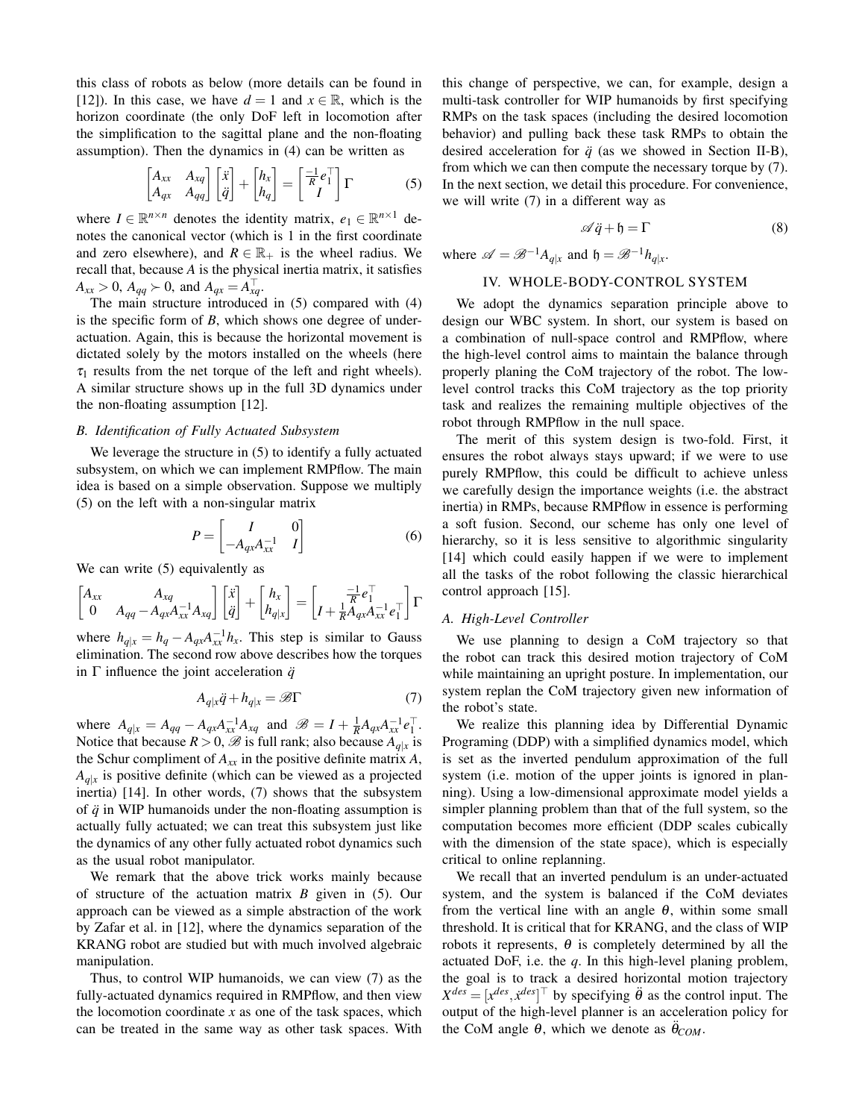this class of robots as below (more details can be found in [12]). In this case, we have  $d = 1$  and  $x \in \mathbb{R}$ , which is the horizon coordinate (the only DoF left in locomotion after the simplification to the sagittal plane and the non-floating assumption). Then the dynamics in (4) can be written as

$$
\begin{bmatrix} A_{xx} & A_{xq} \\ A_{qx} & A_{qq} \end{bmatrix} \begin{bmatrix} \ddot{x} \\ \ddot{q} \end{bmatrix} + \begin{bmatrix} h_x \\ h_q \end{bmatrix} = \begin{bmatrix} \frac{-1}{R} e_1^\top \\ I \end{bmatrix} \Gamma
$$
 (5)

where  $I \in \mathbb{R}^{n \times n}$  denotes the identity matrix,  $e_1 \in \mathbb{R}^{n \times 1}$  denotes the canonical vector (which is 1 in the first coordinate and zero elsewhere), and  $R \in \mathbb{R}_+$  is the wheel radius. We recall that, because *A* is the physical inertia matrix, it satisfies  $A_{xx} > 0$ ,  $A_{qq} > 0$ , and  $A_{qx} = A_{xq}^{\top}$ .

The main structure introduced in (5) compared with (4) is the specific form of *B*, which shows one degree of underactuation. Again, this is because the horizontal movement is dictated solely by the motors installed on the wheels (here  $\tau_1$  results from the net torque of the left and right wheels). A similar structure shows up in the full 3D dynamics under the non-floating assumption [12].

#### *B. Identification of Fully Actuated Subsystem*

We leverage the structure in  $(5)$  to identify a fully actuated subsystem, on which we can implement RMPflow. The main idea is based on a simple observation. Suppose we multiply (5) on the left with a non-singular matrix

$$
P = \begin{bmatrix} I & 0 \\ -A_{qx}A_{xx}^{-1} & I \end{bmatrix}
$$
 (6)

We can write  $(5)$  equivalently as

$$
\begin{bmatrix} A_{xx} & A_{xq} \\ 0 & A_{qq} - A_{qx}A_{xx}^{-1}A_{xq} \end{bmatrix} \begin{bmatrix} \ddot{x} \\ \ddot{q} \end{bmatrix} + \begin{bmatrix} h_x \\ h_{q|x} \end{bmatrix} = \begin{bmatrix} \frac{-1}{R}e_1^\top \\ I + \frac{1}{R}A_{qx}A_{xx}^{-1}e_1^\top \end{bmatrix} \Gamma
$$

where  $h_{q|x} = h_q - A_{qx}A_{xx}^{-1}h_x$ . This step is similar to Gauss elimination. The second row above describes how the torques in  $\Gamma$  influence the joint acceleration  $\ddot{q}$ 

$$
A_{q|x}\ddot{q} + h_{q|x} = \mathscr{B}\Gamma
$$
 (7)

where  $A_{q|x} = A_{qq} - A_{qx}A_{xx}^{-1}A_{xq}$  and  $\mathscr{B} = I + \frac{1}{R}A_{qx}A_{xx}^{-1}e_{1}^{-1}$ . Notice that because  $R > 0$ ,  $\mathscr{B}$  is full rank; also because  $A_{q|x}$  is the Schur compliment of  $A_{xx}$  in the positive definite matrix  $A$ ,  $A_{q|x}$  is positive definite (which can be viewed as a projected inertia) [14]. In other words, (7) shows that the subsystem of  $\ddot{q}$  in WIP humanoids under the non-floating assumption is actually fully actuated; we can treat this subsystem just like the dynamics of any other fully actuated robot dynamics such as the usual robot manipulator.

We remark that the above trick works mainly because of structure of the actuation matrix *B* given in (5). Our approach can be viewed as a simple abstraction of the work by Zafar et al. in [12], where the dynamics separation of the KRANG robot are studied but with much involved algebraic manipulation.

Thus, to control WIP humanoids, we can view (7) as the fully-actuated dynamics required in RMPflow, and then view the locomotion coordinate  $x$  as one of the task spaces, which can be treated in the same way as other task spaces. With this change of perspective, we can, for example, design a multi-task controller for WIP humanoids by first specifying RMPs on the task spaces (including the desired locomotion behavior) and pulling back these task RMPs to obtain the desired acceleration for  $\ddot{q}$  (as we showed in Section II-B), from which we can then compute the necessary torque by (7). In the next section, we detail this procedure. For convenience, we will write (7) in a different way as

$$
\mathscr{A}\ddot{q} + \mathfrak{h} = \Gamma \tag{8}
$$

where  $\mathscr{A} = \mathscr{B}^{-1}A_{q|x}$  and  $\mathfrak{h} = \mathscr{B}^{-1}h_{q|x}$ .

## IV. WHOLE-BODY-CONTROL SYSTEM

We adopt the dynamics separation principle above to design our WBC system. In short, our system is based on a combination of null-space control and RMPflow, where the high-level control aims to maintain the balance through properly planing the CoM trajectory of the robot. The lowlevel control tracks this CoM trajectory as the top priority task and realizes the remaining multiple objectives of the robot through RMPflow in the null space.

The merit of this system design is two-fold. First, it ensures the robot always stays upward; if we were to use purely RMPflow, this could be difficult to achieve unless we carefully design the importance weights (i.e. the abstract inertia) in RMPs, because RMPflow in essence is performing a soft fusion. Second, our scheme has only one level of hierarchy, so it is less sensitive to algorithmic singularity [14] which could easily happen if we were to implement all the tasks of the robot following the classic hierarchical control approach [15].

#### *A. High-Level Controller*

We use planning to design a CoM trajectory so that the robot can track this desired motion trajectory of CoM while maintaining an upright posture. In implementation, our system replan the CoM trajectory given new information of the robot's state.

We realize this planning idea by Differential Dynamic Programing (DDP) with a simplified dynamics model, which is set as the inverted pendulum approximation of the full system (i.e. motion of the upper joints is ignored in planning). Using a low-dimensional approximate model yields a simpler planning problem than that of the full system, so the computation becomes more efficient (DDP scales cubically with the dimension of the state space), which is especially critical to online replanning.

We recall that an inverted pendulum is an under-actuated system, and the system is balanced if the CoM deviates from the vertical line with an angle  $\theta$ , within some small threshold. It is critical that for KRANG, and the class of WIP robots it represents,  $\theta$  is completely determined by all the actuated DoF, i.e. the *q*. In this high-level planing problem, the goal is to track a desired horizontal motion trajectory  $X^{des} = [x^{des}, x^{des}]^\top$  by specifying  $\ddot{\theta}$  as the control input. The output of the high-level planner is an acceleration policy for the CoM angle  $\theta$ , which we denote as  $\ddot{\theta}_{COM}$ .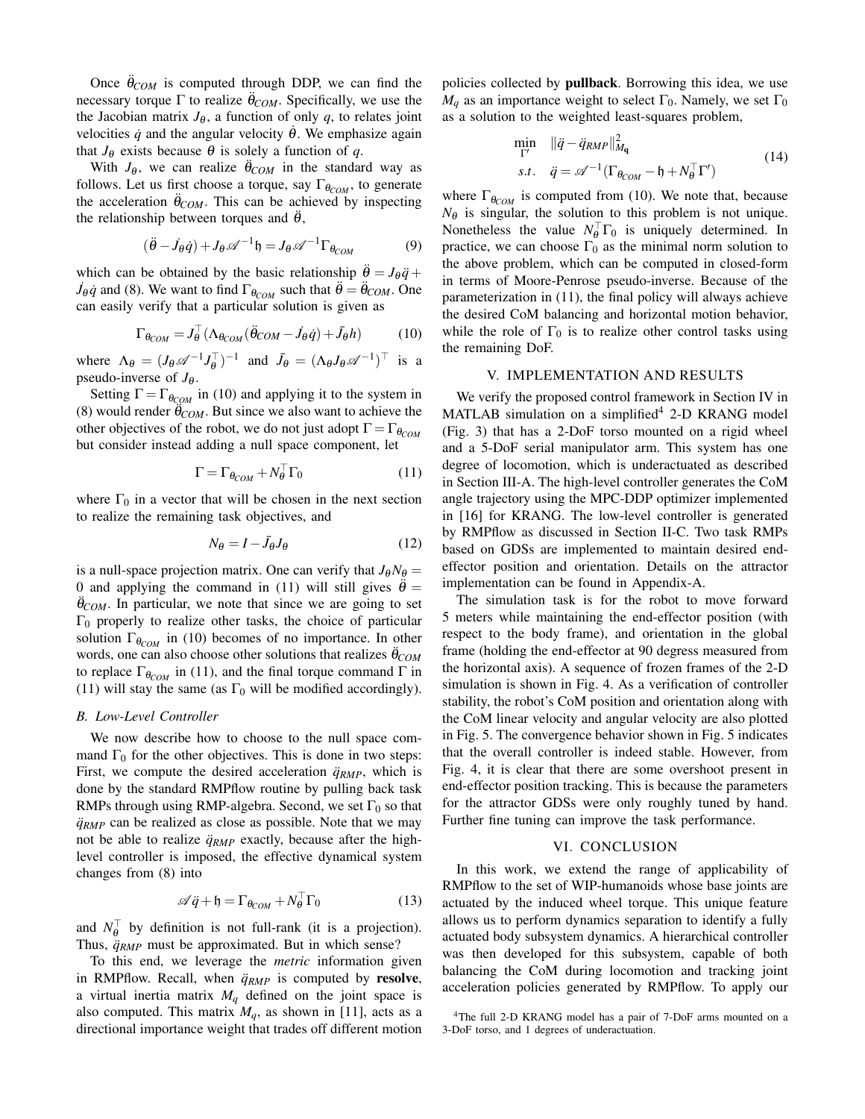Once  $\ddot{\theta}_{COM}$  is computed through DDP, we can find the necessary torque  $\Gamma$  to realize  $\ddot{\theta}_{COM}$ . Specifically, we use the the Jacobian matrix  $J_{\theta}$ , a function of only q, to relates joint velocities  $\dot{q}$  and the angular velocity  $\dot{\theta}$ . We emphasize again that  $J_{\theta}$  exists because  $\theta$  is solely a function of *q*.

With  $J_{\theta}$ , we can realize  $\ddot{\theta}_{COM}$  in the standard way as follows. Let us first choose a torque, say  $\Gamma_{\theta_{COM}}$ , to generate the acceleration  $\ddot{\theta}_{COM}$ . This can be achieved by inspecting the relationship between torques and  $\theta$ ,

$$
(\ddot{\theta} - \dot{J}_{\theta}\dot{q}) + J_{\theta}\mathscr{A}^{-1}\mathfrak{h} = J_{\theta}\mathscr{A}^{-1}\Gamma_{\theta_{COM}}
$$
(9)

which can be obtained by the basic relationship  $\ddot{\theta} = J_{\theta} \ddot{q} +$  $J_{\theta} \dot{q}$  and (8). We want to find  $\Gamma_{\theta_{COM}}$  such that  $\ddot{\theta} = \ddot{\theta}_{COM}$ . One can easily verify that a particular solution is given as

$$
\Gamma_{\theta_{COM}} = J_{\theta}^{\top} (\Lambda_{\theta_{COM}} (\ddot{\theta}_{COM} - \dot{J}_{\theta} \dot{q}) + \bar{J}_{\theta} h)
$$
(10)

where  $\Lambda_{\theta} = (J_{\theta} \mathscr{A}^{-1} J_{\theta}^{\top})^{-1}$  and  $\bar{J}_{\theta} = (\Lambda_{\theta} J_{\theta} \mathscr{A}^{-1})^{\top}$  is a pseudo-inverse of  $J_{\theta}$ .

Setting  $\Gamma = \Gamma_{\theta_{COM}}$  in (10) and applying it to the system in (8) would render  $\ddot{\theta}_{COM}$ . But since we also want to achieve the other objectives of the robot, we do not just adopt  $\Gamma = \Gamma_{\theta_{COM}}$ but consider instead adding a null space component, let

$$
\Gamma = \Gamma_{\theta_{COM}} + N_{\theta}^{\top} \Gamma_0 \tag{11}
$$

where  $\Gamma_0$  in a vector that will be chosen in the next section to realize the remaining task objectives, and

$$
N_{\theta} = I - \bar{J}_{\theta} J_{\theta} \tag{12}
$$

is a null-space projection matrix. One can verify that  $J_{\theta}N_{\theta} =$ 0 and applying the command in (11) will still gives  $\ddot{\theta} =$  $\ddot{\theta}_{COM}$ . In particular, we note that since we are going to set  $\Gamma_0$  properly to realize other tasks, the choice of particular solution  $\Gamma_{\theta_{COM}}$  in (10) becomes of no importance. In other words, one can also choose other solutions that realizes  $\ddot{\theta}_{COM}$ to replace  $\Gamma_{\theta_{COM}}$  in (11), and the final torque command  $\Gamma$  in (11) will stay the same (as  $\Gamma_0$  will be modified accordingly).

## *B. Low-Level Controller*

We now describe how to choose to the null space command  $\Gamma_0$  for the other objectives. This is done in two steps: First, we compute the desired acceleration  $\ddot{q}_{RMP}$ , which is done by the standard RMPflow routine by pulling back task RMPs through using RMP-algebra. Second, we set  $\Gamma_0$  so that  $\ddot{q}_{RMP}$  can be realized as close as possible. Note that we may not be able to realize  $\ddot{q}_{RMP}$  exactly, because after the highlevel controller is imposed, the effective dynamical system changes from (8) into

$$
\mathscr{A}\ddot{q} + \mathfrak{h} = \Gamma_{\theta_{COM}} + N_{\theta}^{\top} \Gamma_0 \tag{13}
$$

and  $N_{\theta}^{\top}$  by definition is not full-rank (it is a projection). Thus,  $\ddot{q}_{RMP}$  must be approximated. But in which sense?

To this end, we leverage the *metric* information given in RMPflow. Recall, when  $\ddot{q}_{RMP}$  is computed by resolve, a virtual inertia matrix  $M_q$  defined on the joint space is also computed. This matrix  $M_q$ , as shown in [11], acts as a directional importance weight that trades off different motion policies collected by pullback. Borrowing this idea, we use  $M_q$  as an importance weight to select  $\Gamma_0$ . Namely, we set  $\Gamma_0$ as a solution to the weighted least-squares problem,

$$
\min_{\Gamma'} \quad \|\ddot{q} - \ddot{q}_{RMP}\|_{M_{\mathbf{q}}}^2 s.t. \quad \ddot{q} = \mathscr{A}^{-1}(\Gamma_{\theta_{COM}} - \mathfrak{h} + N_{\theta}^{\top} \Gamma')
$$
\n(14)

where  $\Gamma_{\theta_{COM}}$  is computed from (10). We note that, because  $N_{\theta}$  is singular, the solution to this problem is not unique. Nonetheless the value  $N_{\theta}^{\top} \Gamma_0$  is uniquely determined. In practice, we can choose  $\Gamma_0$  as the minimal norm solution to the above problem, which can be computed in closed-form in terms of Moore-Penrose pseudo-inverse. Because of the parameterization in (11), the final policy will always achieve the desired CoM balancing and horizontal motion behavior, while the role of  $\Gamma_0$  is to realize other control tasks using the remaining DoF.

#### V. IMPLEMENTATION AND RESULTS

We verify the proposed control framework in Section IV in  $MATLAB$  simulation on a simplified<sup>4</sup> 2-D KRANG model (Fig. 3) that has a 2-DoF torso mounted on a rigid wheel and a 5-DoF serial manipulator arm. This system has one degree of locomotion, which is underactuated as described in Section III-A. The high-level controller generates the CoM angle trajectory using the MPC-DDP optimizer implemented in [16] for KRANG. The low-level controller is generated by RMPflow as discussed in Section II-C. Two task RMPs based on GDSs are implemented to maintain desired endeffector position and orientation. Details on the attractor implementation can be found in Appendix-A.

The simulation task is for the robot to move forward 5 meters while maintaining the end-effector position (with respect to the body frame), and orientation in the global frame (holding the end-effector at 90 degress measured from the horizontal axis). A sequence of frozen frames of the 2-D simulation is shown in Fig. 4. As a verification of controller stability, the robot's CoM position and orientation along with the CoM linear velocity and angular velocity are also plotted in Fig. 5. The convergence behavior shown in Fig. 5 indicates that the overall controller is indeed stable. However, from Fig. 4, it is clear that there are some overshoot present in end-effector position tracking. This is because the parameters for the attractor GDSs were only roughly tuned by hand. Further fine tuning can improve the task performance.

## VI. CONCLUSION

In this work, we extend the range of applicability of RMPflow to the set of WIP-humanoids whose base joints are actuated by the induced wheel torque. This unique feature allows us to perform dynamics separation to identify a fully actuated body subsystem dynamics. A hierarchical controller was then developed for this subsystem, capable of both balancing the CoM during locomotion and tracking joint acceleration policies generated by RMPflow. To apply our

<sup>4</sup>The full 2-D KRANG model has a pair of 7-DoF arms mounted on a 3-DoF torso, and 1 degrees of underactuation.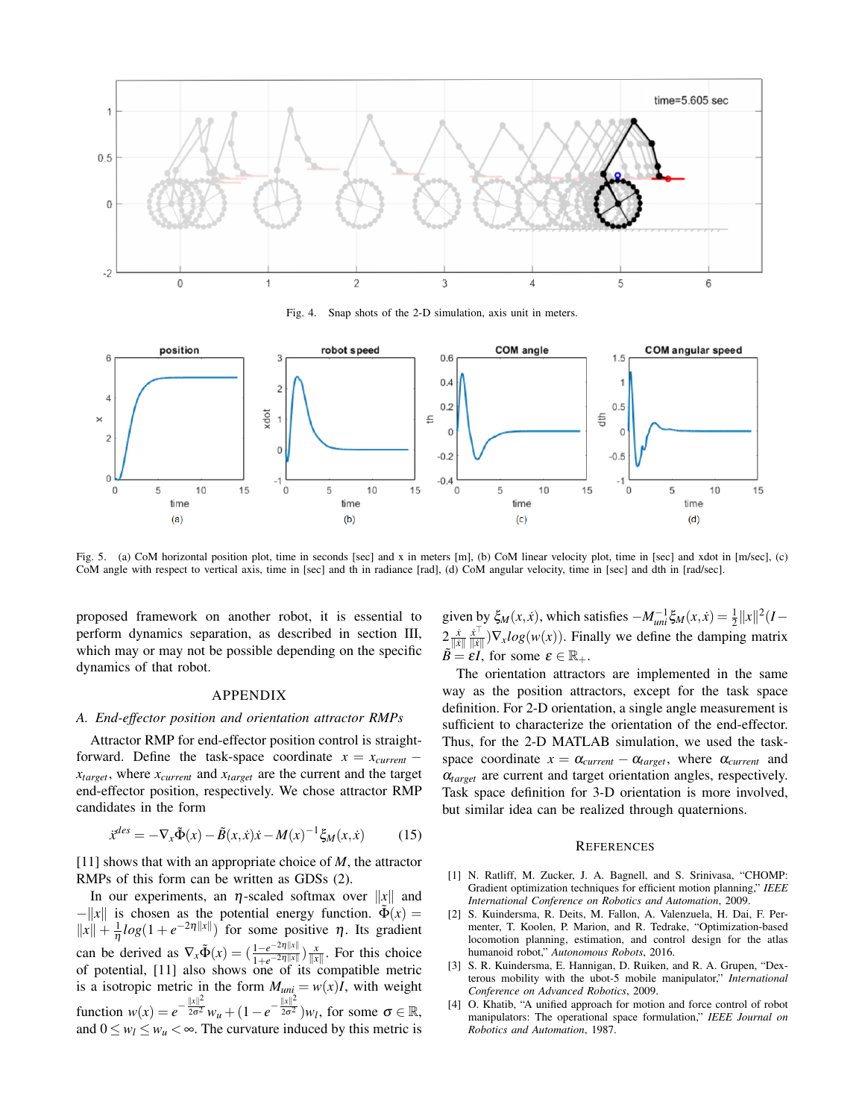

Fig. 4. Snap shots of the 2-D simulation, axis unit in meters.



Fig. 5. (a) CoM horizontal position plot, time in seconds [sec] and x in meters [m], (b) CoM linear velocity plot, time in [sec] and xdot in [m/sec], (c) CoM angle with respect to vertical axis, time in [sec] and th in radiance [rad], (d) CoM angular velocity, time in [sec] and dth in [rad/sec].

proposed framework on another robot, it is essential to perform dynamics separation, as described in section III, which may or may not be possible depending on the specific dynamics of that robot.

## APPENDIX

#### *A. End-effector position and orientation attractor RMPs*

Attractor RMP for end-effector position control is straightforward. Define the task-space coordinate  $x = x_{current}$ *xtarget*, where *xcurrent* and *xtarget* are the current and the target end-effector position, respectively. We chose attractor RMP candidates in the form

$$
\ddot{x}^{des} = -\nabla_x \tilde{\Phi}(x) - \tilde{B}(x,\dot{x})\dot{x} - M(x)^{-1}\xi_M(x,\dot{x})\tag{15}
$$

[11] shows that with an appropriate choice of *M*, the attractor RMPs of this form can be written as GDSs (2).

In our experiments, an  $\eta$ -scaled softmax over  $||x||$  and  $-\Vert x \Vert$  is chosen as the potential energy function.  $\Phi(x) =$  $||x|| + \frac{1}{\eta}log(1 + e^{-2\eta ||x||})$  for some positive  $\eta$ . Its gradient can be derived as  $\nabla_x \tilde{\Phi}(x) = \left(\frac{1 - e^{-2\eta ||x||}}{1 + e^{-2\eta ||x||}}\right)$  $\frac{1-e^{-2\eta ||x||}}{1+e^{-2\eta ||x||}}$ )  $\frac{x}{||x||}$ . For this choice of potential, [11] also shows one of its compatible metric is a isotropic metric in the form  $M_{uni} = w(x)I$ , with weight function  $w(x) = e^{-\frac{||x||^2}{2\sigma^2}}$  $\frac{\|x\|^2}{2\sigma^2} w_u + (1-e^{-\frac{\|x\|^2}{2\sigma^2}})$  $\frac{d^{100}}{2\sigma^2}$ )*w*<sub>*l*</sub>, for some  $\sigma \in \mathbb{R}$ , and  $0 \leq w_l \leq w_u < \infty$ . The curvature induced by this metric is

given by  $\xi_M(x, \dot{x})$ , which satisfies  $-M_{uni}^{-1}\xi_M(x, \dot{x}) = \frac{1}{2}||x||^2(I 2\frac{\dot{x}}{\|\dot{x}\|}\frac{\dot{x}^{\top}}{\|\dot{x}\|}$  $\frac{\dot{x}}{\|\dot{x}\|}$ ) $\nabla_x log(w(x))$ . Finally we define the damping matrix  $\tilde{B} = \varepsilon I$ , for some  $\varepsilon \in \mathbb{R}_+$ .

The orientation attractors are implemented in the same way as the position attractors, except for the task space definition. For 2-D orientation, a single angle measurement is sufficient to characterize the orientation of the end-effector. Thus, for the 2-D MATLAB simulation, we used the taskspace coordinate  $x = \alpha_{current} - \alpha_{target}$ , where  $\alpha_{current}$  and α*target* are current and target orientation angles, respectively. Task space definition for 3-D orientation is more involved, but similar idea can be realized through quaternions.

#### **REFERENCES**

- [1] N. Ratliff, M. Zucker, J. A. Bagnell, and S. Srinivasa, "CHOMP: Gradient optimization techniques for efficient motion planning," *IEEE International Conference on Robotics and Automation*, 2009.
- [2] S. Kuindersma, R. Deits, M. Fallon, A. Valenzuela, H. Dai, F. Permenter, T. Koolen, P. Marion, and R. Tedrake, "Optimization-based locomotion planning, estimation, and control design for the atlas humanoid robot," *Autonomous Robots*, 2016.
- [3] S. R. Kuindersma, E. Hannigan, D. Ruiken, and R. A. Grupen, "Dexterous mobility with the ubot-5 mobile manipulator," *International Conference on Advanced Robotics*, 2009.
- [4] O. Khatib, "A unified approach for motion and force control of robot manipulators: The operational space formulation," *IEEE Journal on Robotics and Automation*, 1987.